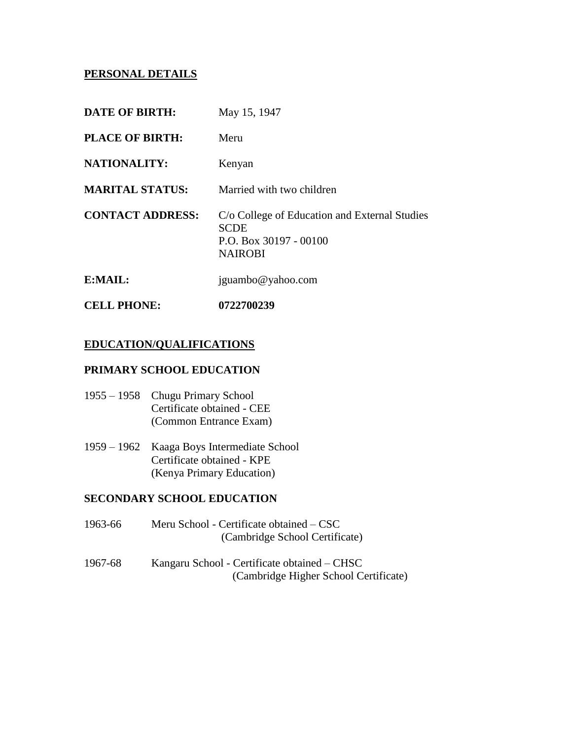## **PERSONAL DETAILS**

| <b>CELL PHONE:</b>      | 0722700239                                                                                               |
|-------------------------|----------------------------------------------------------------------------------------------------------|
| E:MAIL:                 | jguambo@yahoo.com                                                                                        |
| <b>CONTACT ADDRESS:</b> | C/o College of Education and External Studies<br><b>SCDE</b><br>P.O. Box 30197 - 00100<br><b>NAIROBI</b> |
| <b>MARITAL STATUS:</b>  | Married with two children                                                                                |
| <b>NATIONALITY:</b>     | Kenyan                                                                                                   |
| <b>PLACE OF BIRTH:</b>  | Meru                                                                                                     |
| <b>DATE OF BIRTH:</b>   | May 15, 1947                                                                                             |

### **EDUCATION/QUALIFICATIONS**

## **PRIMARY SCHOOL EDUCATION**

- 1955 1958 Chugu Primary School Certificate obtained - CEE (Common Entrance Exam)
- 1959 1962 Kaaga Boys Intermediate School Certificate obtained - KPE (Kenya Primary Education)

#### **SECONDARY SCHOOL EDUCATION**

| 1963-66 | Meru School - Certificate obtained – CSC<br>(Cambridge School Certificate)            |
|---------|---------------------------------------------------------------------------------------|
| 1967-68 | Kangaru School - Certificate obtained – CHSC<br>(Cambridge Higher School Certificate) |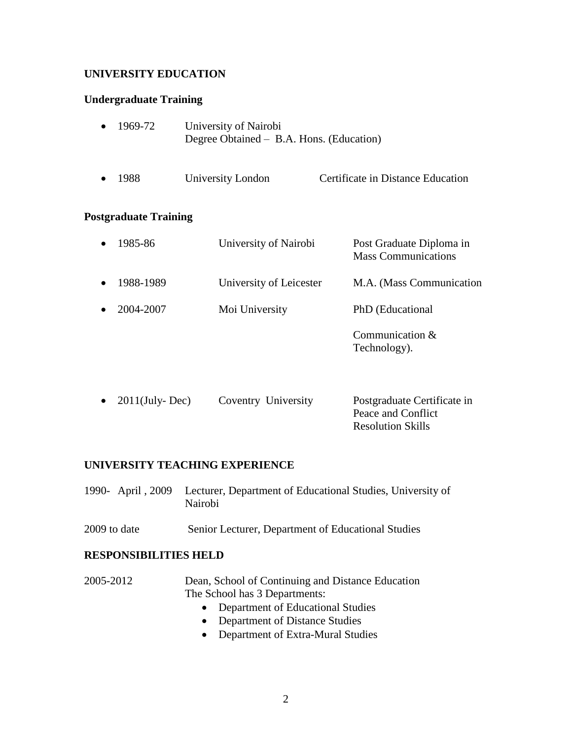## **UNIVERSITY EDUCATION**

## **Undergraduate Training**

| 1969-72                      | University of Nairobi<br>Degree Obtained – B.A. Hons. (Education) |                                                        |
|------------------------------|-------------------------------------------------------------------|--------------------------------------------------------|
| 1988                         | University London                                                 | Certificate in Distance Education                      |
| <b>Postgraduate Training</b> |                                                                   |                                                        |
| 1985-86                      | University of Nairobi                                             | Post Graduate Diploma in<br><b>Mass Communications</b> |
| 1988-1989                    | University of Leicester                                           | M.A. (Mass Communication                               |
| 2004-2007                    | Moi University                                                    | PhD (Educational                                       |
|                              |                                                                   | Communication &<br>Technology).                        |
| $2011$ (July-Dec)            | Coventry University                                               | Postgraduate Certificate in<br>Peace and Conflict      |

Resolution Skills

#### **UNIVERSITY TEACHING EXPERIENCE**

| 1990- April, 2009 Lecturer, Department of Educational Studies, University of |
|------------------------------------------------------------------------------|
| Nairobi                                                                      |

2009 to date Senior Lecturer, Department of Educational Studies

#### **RESPONSIBILITIES HELD**

- 2005-2012 Dean, School of Continuing and Distance Education The School has 3 Departments:
	- Department of Educational Studies
	- Department of Distance Studies
	- Department of Extra-Mural Studies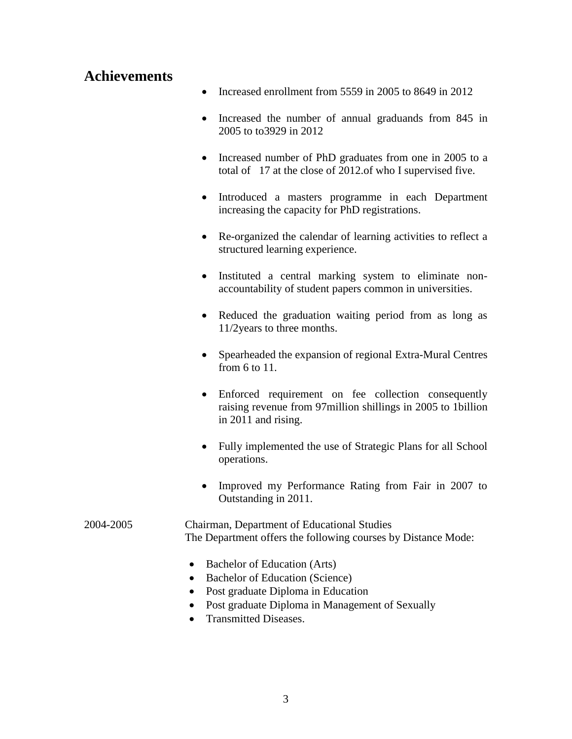# **Achievements**

- Increased enrollment from 5559 in 2005 to 8649 in 2012
- Increased the number of annual graduands from 845 in 2005 to to3929 in 2012
- Increased number of PhD graduates from one in 2005 to a total of 17 at the close of 2012.of who I supervised five.
- Introduced a masters programme in each Department increasing the capacity for PhD registrations.
- Re-organized the calendar of learning activities to reflect a structured learning experience.
- Instituted a central marking system to eliminate nonaccountability of student papers common in universities.
- Reduced the graduation waiting period from as long as 11/2years to three months.
- Spearheaded the expansion of regional Extra-Mural Centres from 6 to 11.
- Enforced requirement on fee collection consequently raising revenue from 97million shillings in 2005 to 1billion in 2011 and rising.
- Fully implemented the use of Strategic Plans for all School operations.
- Improved my Performance Rating from Fair in 2007 to Outstanding in 2011.

#### 2004-2005 Chairman, Department of Educational Studies The Department offers the following courses by Distance Mode:

- Bachelor of Education (Arts)
- Bachelor of Education (Science)
- Post graduate Diploma in Education
- Post graduate Diploma in Management of Sexually
- Transmitted Diseases.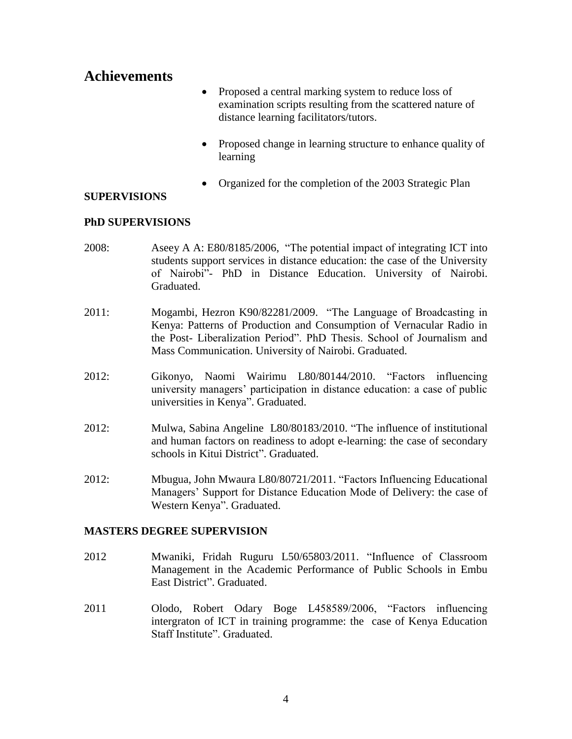# **Achievements**

- Proposed a central marking system to reduce loss of examination scripts resulting from the scattered nature of distance learning facilitators/tutors.
- Proposed change in learning structure to enhance quality of learning
- Organized for the completion of the 2003 Strategic Plan

### **SUPERVISIONS**

### **PhD SUPERVISIONS**

- 2008: Aseey A A: E80/8185/2006, "The potential impact of integrating ICT into students support services in distance education: the case of the University of Nairobi"- PhD in Distance Education. University of Nairobi. Graduated.
- 2011: Mogambi, Hezron K90/82281/2009. "The Language of Broadcasting in Kenya: Patterns of Production and Consumption of Vernacular Radio in the Post- Liberalization Period‖. PhD Thesis. School of Journalism and Mass Communication. University of Nairobi. Graduated.
- 2012: Gikonyo, Naomi Wairimu L80/80144/2010. 
"Factors influencing university managers' participation in distance education: a case of public universities in Kenya". Graduated.
- 2012: Mulwa, Sabina Angeline L80/80183/2010. "The influence of institutional and human factors on readiness to adopt e-learning: the case of secondary schools in Kitui District". Graduated.
- 2012: Mbugua, John Mwaura L80/80721/2011. "Factors Influencing Educational Managers' Support for Distance Education Mode of Delivery: the case of Western Kenya". Graduated.

## **MASTERS DEGREE SUPERVISION**

- 2012 Mwaniki, Fridah Ruguru L50/65803/2011. "Influence of Classroom Management in the Academic Performance of Public Schools in Embu East District". Graduated.
- 2011 Olodo, Robert Odary Boge L458589/2006, "Factors influencing intergraton of ICT in training programme: the case of Kenya Education Staff Institute". Graduated.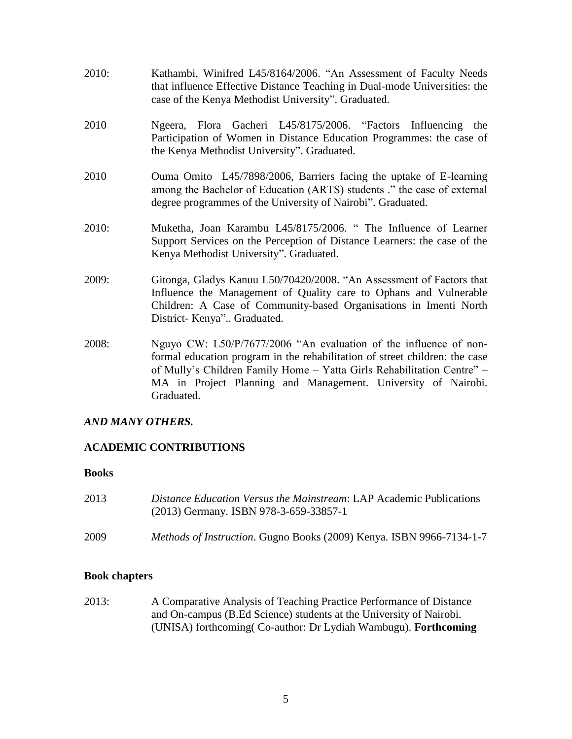- 2010: Kathambi, Winifred L45/8164/2006. "An Assessment of Faculty Needs that influence Effective Distance Teaching in Dual-mode Universities: the case of the Kenya Methodist University". Graduated.
- 2010 Ngeera, Flora Gacheri L45/8175/2006. "Factors Influencing the Participation of Women in Distance Education Programmes: the case of the Kenya Methodist University". Graduated.
- 2010 Ouma Omito L45/7898/2006, Barriers facing the uptake of E-learning among the Bachelor of Education (ARTS) students ." the case of external degree programmes of the University of Nairobi". Graduated.
- 2010: Muketha, Joan Karambu L45/8175/2006. "The Influence of Learner Support Services on the Perception of Distance Learners: the case of the Kenya Methodist University". Graduated.
- 2009: Gitonga, Gladys Kanuu L50/70420/2008. "An Assessment of Factors that Influence the Management of Quality care to Ophans and Vulnerable Children: A Case of Community-based Organisations in Imenti North District- Kenya".. Graduated.
- 2008: Nguyo CW: L50/P/7677/2006 "An evaluation of the influence of nonformal education program in the rehabilitation of street children: the case of Mully's Children Family Home – Yatta Girls Rehabilitation Centre" – MA in Project Planning and Management. University of Nairobi. Graduated.

## *AND MANY OTHERS.*

## **ACADEMIC CONTRIBUTIONS**

## **Books**

- 2013 *Distance Education Versus the Mainstream*: LAP Academic Publications (2013) Germany. ISBN 978-3-659-33857-1
- 2009 *Methods of Instruction*. Gugno Books (2009) Kenya. ISBN 9966-7134-1-7

## **Book chapters**

2013: A Comparative Analysis of Teaching Practice Performance of Distance and On-campus (B.Ed Science) students at the University of Nairobi. (UNISA) forthcoming( Co-author: Dr Lydiah Wambugu). **Forthcoming**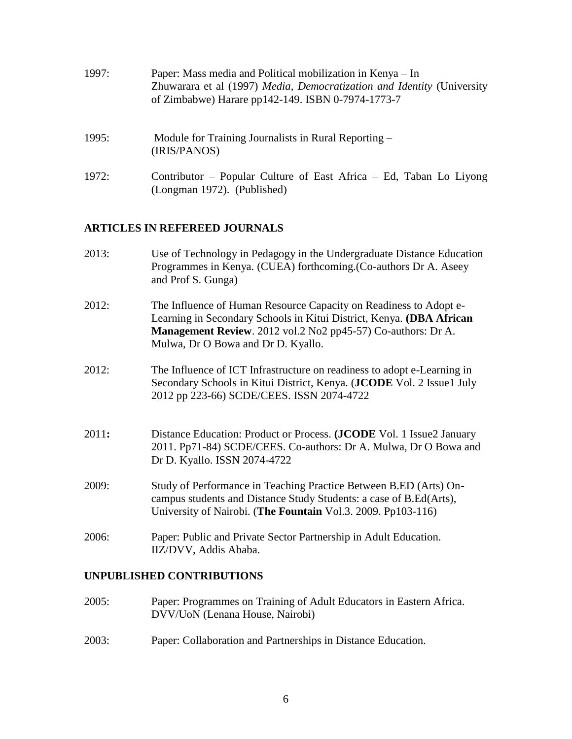| 1997: | Paper: Mass media and Political mobilization in Kenya – In<br>Zhuwarara et al (1997) Media, Democratization and Identity (University<br>of Zimbabwe) Harare pp142-149. ISBN 0-7974-1773-7 |
|-------|-------------------------------------------------------------------------------------------------------------------------------------------------------------------------------------------|
| 1995: | Module for Training Journalists in Rural Reporting –<br>(IRIS/PANOS)                                                                                                                      |
| 1972: | Contributor – Popular Culture of East Africa – Ed, Taban Lo Liyong<br>(Longman 1972). (Published)                                                                                         |

## **ARTICLES IN REFEREED JOURNALS**

- 2013: Use of Technology in Pedagogy in the Undergraduate Distance Education Programmes in Kenya. (CUEA) forthcoming.(Co-authors Dr A. Aseey and Prof S. Gunga)
- 2012: The Influence of Human Resource Capacity on Readiness to Adopt e-Learning in Secondary Schools in Kitui District, Kenya. **(DBA African Management Review**. 2012 vol.2 No2 pp45-57) Co-authors: Dr A. Mulwa, Dr O Bowa and Dr D. Kyallo.
- 2012: The Influence of ICT Infrastructure on readiness to adopt e-Learning in Secondary Schools in Kitui District, Kenya. (**JCODE** Vol. 2 Issue1 July 2012 pp 223-66) SCDE/CEES. ISSN 2074-4722
- 2011**:** Distance Education: Product or Process. **(JCODE** Vol. 1 Issue2 January 2011. Pp71-84) SCDE/CEES. Co-authors: Dr A. Mulwa, Dr O Bowa and Dr D. Kyallo. ISSN 2074-4722
- 2009: Study of Performance in Teaching Practice Between B.ED (Arts) Oncampus students and Distance Study Students: a case of B.Ed(Arts), University of Nairobi. (**The Fountain** Vol.3. 2009. Pp103-116)
- 2006: Paper: Public and Private Sector Partnership in Adult Education. IIZ/DVV, Addis Ababa.

#### **UNPUBLISHED CONTRIBUTIONS**

- 2005: Paper: Programmes on Training of Adult Educators in Eastern Africa. DVV/UoN (Lenana House, Nairobi)
- 2003: Paper: Collaboration and Partnerships in Distance Education.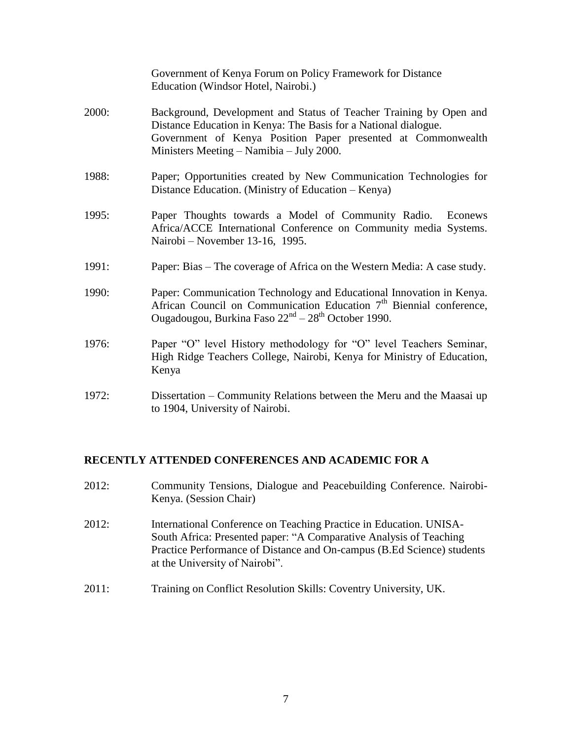|       | Government of Kenya Forum on Policy Framework for Distance<br>Education (Windsor Hotel, Nairobi.)                                                                                                                                                 |
|-------|---------------------------------------------------------------------------------------------------------------------------------------------------------------------------------------------------------------------------------------------------|
| 2000: | Background, Development and Status of Teacher Training by Open and<br>Distance Education in Kenya: The Basis for a National dialogue.<br>Government of Kenya Position Paper presented at Commonwealth<br>Ministers Meeting – Namibia – July 2000. |
| 1988: | Paper; Opportunities created by New Communication Technologies for<br>Distance Education. (Ministry of Education – Kenya)                                                                                                                         |
| 1995: | Paper Thoughts towards a Model of Community Radio. Econews<br>Africa/ACCE International Conference on Community media Systems.<br>Nairobi – November 13-16, 1995.                                                                                 |
| 1991: | Paper: Bias – The coverage of Africa on the Western Media: A case study.                                                                                                                                                                          |
| 1990: | Paper: Communication Technology and Educational Innovation in Kenya.<br>African Council on Communication Education $7th$ Biennial conference,<br>Ougadougou, Burkina Faso 22 <sup>nd</sup> – 28 <sup>th</sup> October 1990.                       |
| 1976: | Paper "O" level History methodology for "O" level Teachers Seminar,<br>High Ridge Teachers College, Nairobi, Kenya for Ministry of Education,<br>Kenya                                                                                            |
| 1972: | Dissertation – Community Relations between the Meru and the Maasai up<br>to 1904, University of Nairobi.                                                                                                                                          |

#### **RECENTLY ATTENDED CONFERENCES AND ACADEMIC FOR A**

- 2012: Community Tensions, Dialogue and Peacebuilding Conference. Nairobi-Kenya. (Session Chair)
- 2012: International Conference on Teaching Practice in Education. UNISA-South Africa: Presented paper: "A Comparative Analysis of Teaching Practice Performance of Distance and On-campus (B.Ed Science) students at the University of Nairobi".
- 2011: Training on Conflict Resolution Skills: Coventry University, UK.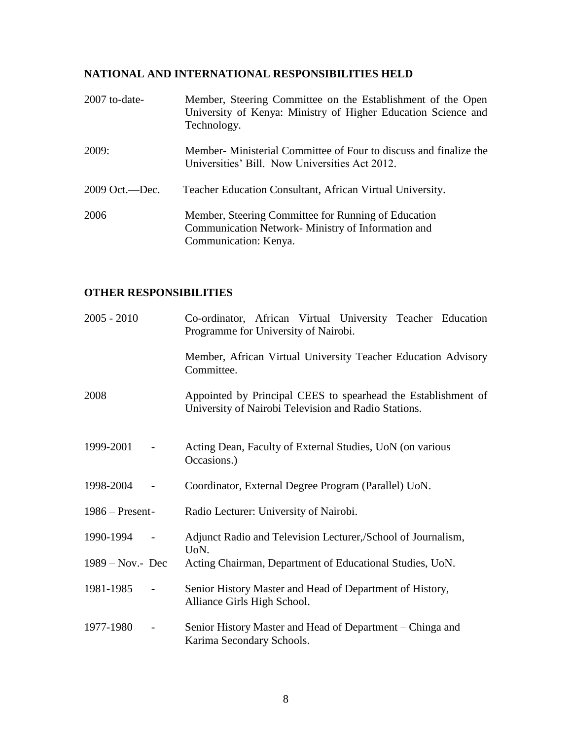# **NATIONAL AND INTERNATIONAL RESPONSIBILITIES HELD**

| 2007 to-date-    | Member, Steering Committee on the Establishment of the Open<br>University of Kenya: Ministry of Higher Education Science and<br>Technology. |
|------------------|---------------------------------------------------------------------------------------------------------------------------------------------|
| 2009:            | Member- Ministerial Committee of Four to discuss and finalize the<br>Universities' Bill. Now Universities Act 2012.                         |
| $2009$ Oct.—Dec. | Teacher Education Consultant, African Virtual University.                                                                                   |
| 2006             | Member, Steering Committee for Running of Education<br>Communication Network- Ministry of Information and<br>Communication: Kenya.          |

## **OTHER RESPONSIBILITIES**

| $2005 - 2010$       |                          | Co-ordinator, African Virtual University Teacher Education<br>Programme for University of Nairobi.                    |
|---------------------|--------------------------|-----------------------------------------------------------------------------------------------------------------------|
|                     |                          | Member, African Virtual University Teacher Education Advisory<br>Committee.                                           |
| 2008                |                          | Appointed by Principal CEES to spearhead the Establishment of<br>University of Nairobi Television and Radio Stations. |
| 1999-2001           |                          | Acting Dean, Faculty of External Studies, UoN (on various<br>Occasions.)                                              |
| 1998-2004           |                          | Coordinator, External Degree Program (Parallel) UoN.                                                                  |
| $1986 -$ Present-   |                          | Radio Lecturer: University of Nairobi.                                                                                |
| 1990-1994           |                          | Adjunct Radio and Television Lecturer, School of Journalism,<br>U <sub>o</sub> N.                                     |
| $1989 - Nov. - Dec$ |                          | Acting Chairman, Department of Educational Studies, UoN.                                                              |
| 1981-1985           |                          | Senior History Master and Head of Department of History,<br>Alliance Girls High School.                               |
| 1977-1980           | $\overline{\phantom{a}}$ | Senior History Master and Head of Department – Chinga and<br>Karima Secondary Schools.                                |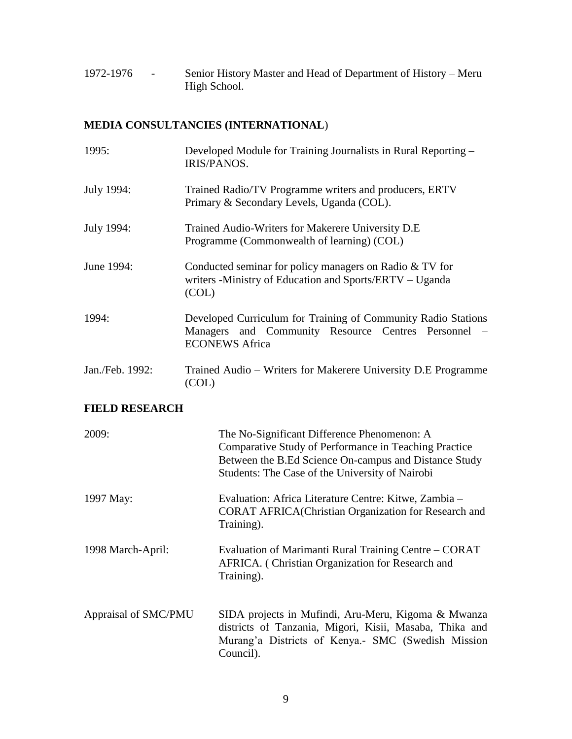1972-1976 - Senior History Master and Head of Department of History – Meru High School.

# **MEDIA CONSULTANCIES (INTERNATIONAL**)

| 1995:                 | Developed Module for Training Journalists in Rural Reporting –<br><b>IRIS/PANOS.</b>                                                                                                                             |  |
|-----------------------|------------------------------------------------------------------------------------------------------------------------------------------------------------------------------------------------------------------|--|
| July 1994:            | Trained Radio/TV Programme writers and producers, ERTV<br>Primary & Secondary Levels, Uganda (COL).                                                                                                              |  |
| July 1994:            | Trained Audio-Writers for Makerere University D.E<br>Programme (Commonwealth of learning) (COL)                                                                                                                  |  |
| June 1994:            | Conducted seminar for policy managers on Radio & TV for<br>writers -Ministry of Education and Sports/ERTV – Uganda<br>(COL)                                                                                      |  |
| 1994:                 | Developed Curriculum for Training of Community Radio Stations<br>Managers and Community Resource Centres Personnel<br><b>ECONEWS Africa</b>                                                                      |  |
| Jan./Feb. 1992:       | Trained Audio – Writers for Makerere University D.E Programme<br>(COL)                                                                                                                                           |  |
| <b>FIELD RESEARCH</b> |                                                                                                                                                                                                                  |  |
| 2009:                 | The No-Significant Difference Phenomenon: A<br>Comparative Study of Performance in Teaching Practice<br>Between the B.Ed Science On-campus and Distance Study<br>Students: The Case of the University of Nairobi |  |
| 1997 May:             | Evaluation: Africa Literature Centre: Kitwe, Zambia -<br><b>CORAT AFRICA (Christian Organization for Research and</b><br>Training).                                                                              |  |
| 1998 March-April:     | Evaluation of Marimanti Rural Training Centre - CORAT<br>AFRICA. (Christian Organization for Research and<br>Training).                                                                                          |  |
| Appraisal of SMC/PMU  | SIDA projects in Mufindi, Aru-Meru, Kigoma & Mwanza<br>districts of Tanzania, Migori, Kisii, Masaba, Thika and<br>Murang'a Districts of Kenya.- SMC (Swedish Mission<br>Council).                                |  |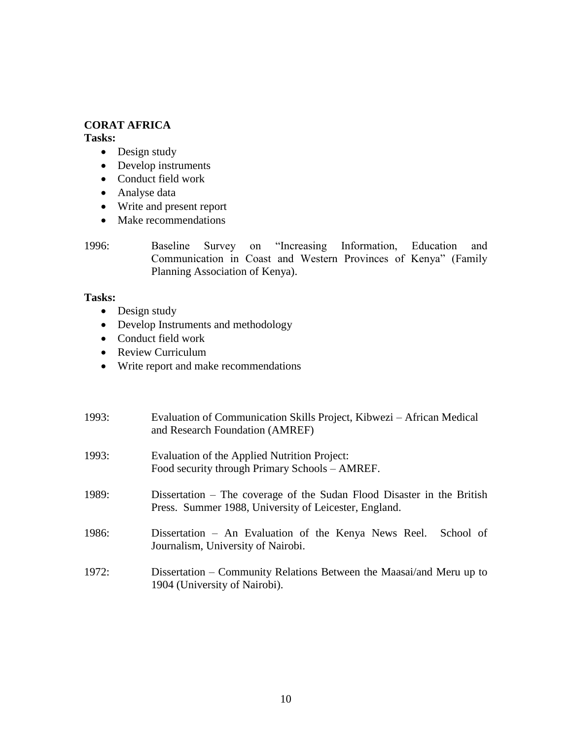### **CORAT AFRICA**

**Tasks:**

- Design study
- Develop instruments
- Conduct field work
- Analyse data
- Write and present report
- Make recommendations

1996: Baseline Survey on "Increasing Information, Education and Communication in Coast and Western Provinces of Kenya" (Family Planning Association of Kenya).

### **Tasks:**

- Design study
- Develop Instruments and methodology
- Conduct field work
- Review Curriculum
- Write report and make recommendations

| 1993: | Evaluation of Communication Skills Project, Kibwezi – African Medical<br>and Research Foundation (AMREF)                        |
|-------|---------------------------------------------------------------------------------------------------------------------------------|
| 1993: | Evaluation of the Applied Nutrition Project:<br>Food security through Primary Schools – AMREF.                                  |
| 1989: | Dissertation – The coverage of the Sudan Flood Disaster in the British<br>Press. Summer 1988, University of Leicester, England. |
| 1986: | Dissertation – An Evaluation of the Kenya News Reel.<br>School of<br>Journalism, University of Nairobi.                         |
| 1972: | Dissertation – Community Relations Between the Maasai/and Meru up to<br>1904 (University of Nairobi).                           |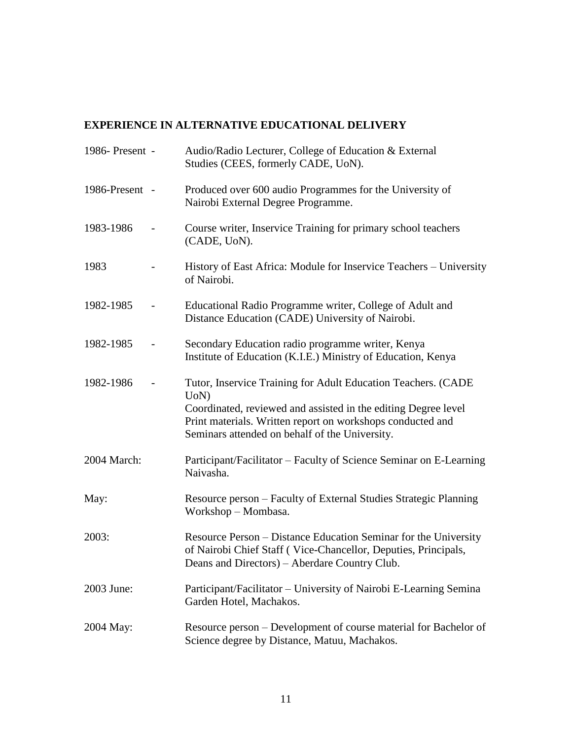# **EXPERIENCE IN ALTERNATIVE EDUCATIONAL DELIVERY**

| 1986- Present - | Audio/Radio Lecturer, College of Education & External<br>Studies (CEES, formerly CADE, UoN).                                                                                                                                                           |
|-----------------|--------------------------------------------------------------------------------------------------------------------------------------------------------------------------------------------------------------------------------------------------------|
| 1986-Present -  | Produced over 600 audio Programmes for the University of<br>Nairobi External Degree Programme.                                                                                                                                                         |
| 1983-1986       | Course writer, Inservice Training for primary school teachers<br>(CADE, UoN).                                                                                                                                                                          |
| 1983            | History of East Africa: Module for Inservice Teachers – University<br>of Nairobi.                                                                                                                                                                      |
| 1982-1985       | Educational Radio Programme writer, College of Adult and<br>Distance Education (CADE) University of Nairobi.                                                                                                                                           |
| 1982-1985       | Secondary Education radio programme writer, Kenya<br>Institute of Education (K.I.E.) Ministry of Education, Kenya                                                                                                                                      |
| 1982-1986       | Tutor, Inservice Training for Adult Education Teachers. (CADE<br>UoN<br>Coordinated, reviewed and assisted in the editing Degree level<br>Print materials. Written report on workshops conducted and<br>Seminars attended on behalf of the University. |
| 2004 March:     | Participant/Facilitator – Faculty of Science Seminar on E-Learning<br>Naivasha.                                                                                                                                                                        |
| May:            | Resource person – Faculty of External Studies Strategic Planning<br>Workshop - Mombasa.                                                                                                                                                                |
| 2003:           | Resource Person – Distance Education Seminar for the University<br>of Nairobi Chief Staff (Vice-Chancellor, Deputies, Principals,<br>Deans and Directors) – Aberdare Country Club.                                                                     |
| 2003 June:      | Participant/Facilitator – University of Nairobi E-Learning Semina<br>Garden Hotel, Machakos.                                                                                                                                                           |
| 2004 May:       | Resource person – Development of course material for Bachelor of<br>Science degree by Distance, Matuu, Machakos.                                                                                                                                       |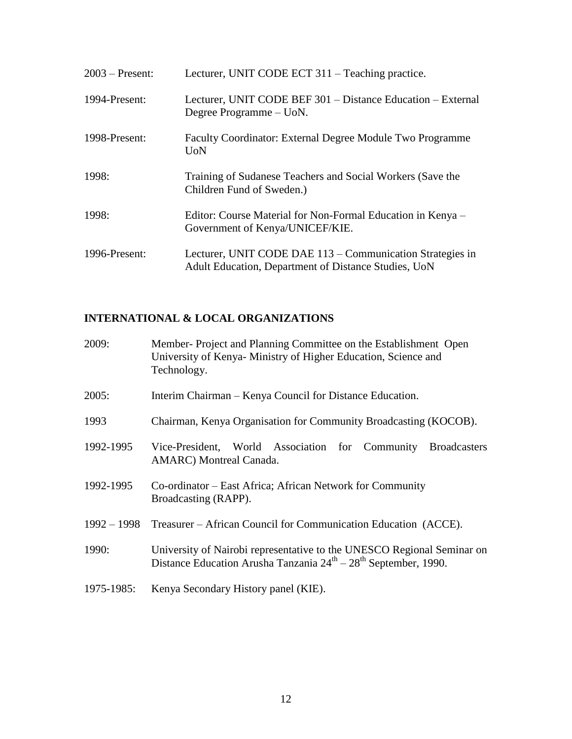| $2003$ – Present: | Lecturer, UNIT CODE ECT 311 – Teaching practice.                                                                  |
|-------------------|-------------------------------------------------------------------------------------------------------------------|
| 1994-Present:     | Lecturer, UNIT CODE BEF 301 - Distance Education - External<br>Degree Programme – UoN.                            |
| 1998-Present:     | Faculty Coordinator: External Degree Module Two Programme<br><b>U</b> oN                                          |
| 1998:             | Training of Sudanese Teachers and Social Workers (Save the<br>Children Fund of Sweden.)                           |
| 1998:             | Editor: Course Material for Non-Formal Education in Kenya –<br>Government of Kenya/UNICEF/KIE.                    |
| 1996-Present:     | Lecturer, UNIT CODE DAE 113 – Communication Strategies in<br>Adult Education, Department of Distance Studies, UoN |

# **INTERNATIONAL & LOCAL ORGANIZATIONS**

| 2009:      | Member-Project and Planning Committee on the Establishment Open<br>University of Kenya-Ministry of Higher Education, Science and<br>Technology. |
|------------|-------------------------------------------------------------------------------------------------------------------------------------------------|
| 2005:      | Interim Chairman – Kenya Council for Distance Education.                                                                                        |
| 1993       | Chairman, Kenya Organisation for Community Broadcasting (KOCOB).                                                                                |
| 1992-1995  | Vice-President, World Association for Community<br><b>Broadcasters</b><br><b>AMARC</b> ) Montreal Canada.                                       |
| 1992-1995  | Co-ordinator – East Africa; African Network for Community<br>Broadcasting (RAPP).                                                               |
|            | 1992 – 1998 Treasurer – African Council for Communication Education (ACCE).                                                                     |
| 1990:      | University of Nairobi representative to the UNESCO Regional Seminar on<br>Distance Education Arusha Tanzania $24th - 28th$ September, 1990.     |
| 1975-1985: | Kenya Secondary History panel (KIE).                                                                                                            |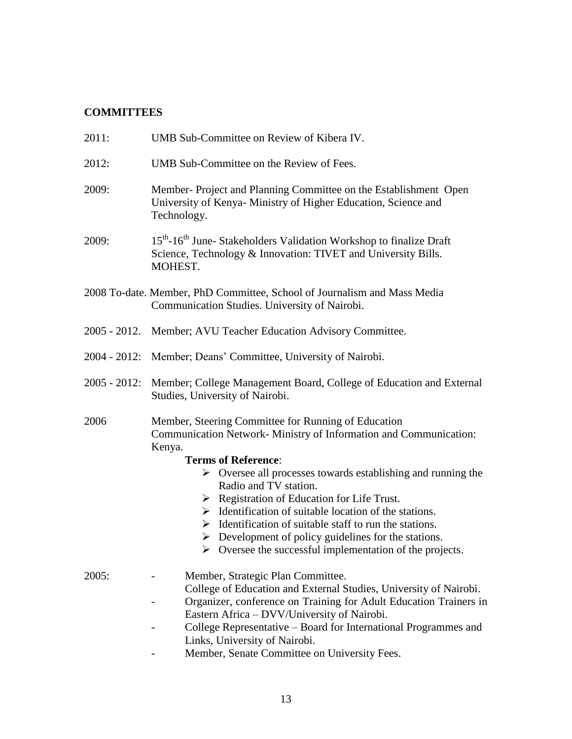# **COMMITTEES**

| 2011:           | UMB Sub-Committee on Review of Kibera IV.                                                                                                                              |
|-----------------|------------------------------------------------------------------------------------------------------------------------------------------------------------------------|
| 2012:           | UMB Sub-Committee on the Review of Fees.                                                                                                                               |
| 2009:           | Member-Project and Planning Committee on the Establishment Open<br>University of Kenya- Ministry of Higher Education, Science and<br>Technology.                       |
| 2009:           | 15 <sup>th</sup> -16 <sup>th</sup> June-Stakeholders Validation Workshop to finalize Draft<br>Science, Technology & Innovation: TIVET and University Bills.<br>MOHEST. |
|                 | 2008 To-date. Member, PhD Committee, School of Journalism and Mass Media<br>Communication Studies. University of Nairobi.                                              |
|                 | 2005 - 2012. Member; AVU Teacher Education Advisory Committee.                                                                                                         |
| $2004 - 2012$ : | Member; Deans' Committee, University of Nairobi.                                                                                                                       |
| $2005 - 2012$ : | Member; College Management Board, College of Education and External<br>Studies, University of Nairobi.                                                                 |
| 2006            | Member, Steering Committee for Running of Education<br>Communication Network- Ministry of Information and Communication:<br>Kenya.                                     |
|                 | <b>Terms of Reference:</b>                                                                                                                                             |
|                 | $\triangleright$ Oversee all processes towards establishing and running the<br>Radio and TV station.                                                                   |
|                 | $\triangleright$ Registration of Education for Life Trust.                                                                                                             |
|                 | $\triangleright$ Identification of suitable location of the stations.                                                                                                  |
|                 | $\triangleright$ Identification of suitable staff to run the stations.                                                                                                 |
|                 | $\triangleright$ Development of policy guidelines for the stations.                                                                                                    |
|                 | $\triangleright$ Oversee the successful implementation of the projects.                                                                                                |
| 2005:           | Member, Strategic Plan Committee.                                                                                                                                      |
|                 | College of Education and External Studies, University of Nairobi.                                                                                                      |
|                 | Organizer, conference on Training for Adult Education Trainers in                                                                                                      |
|                 | Eastern Africa - DVV/University of Nairobi.                                                                                                                            |
|                 | College Representative – Board for International Programmes and                                                                                                        |
|                 | Links, University of Nairobi.                                                                                                                                          |
|                 | Member, Senate Committee on University Fees.                                                                                                                           |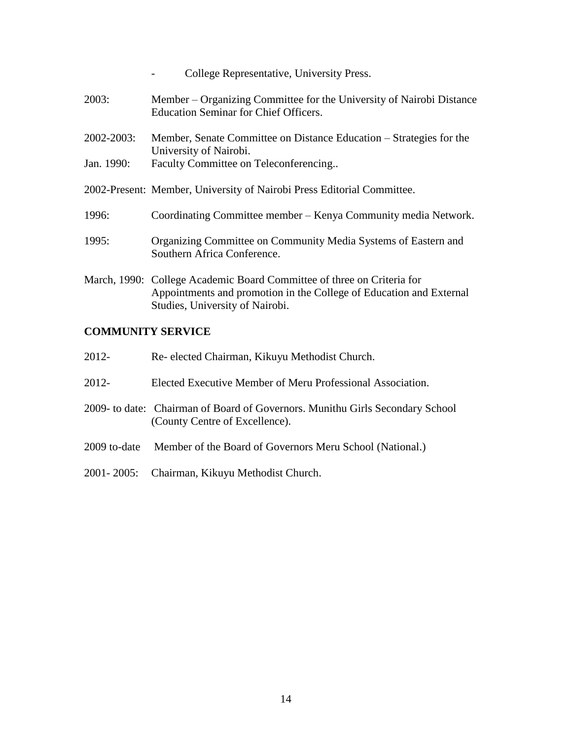|            | College Representative, University Press.                                                                                                                                        |
|------------|----------------------------------------------------------------------------------------------------------------------------------------------------------------------------------|
| 2003:      | Member – Organizing Committee for the University of Nairobi Distance<br><b>Education Seminar for Chief Officers.</b>                                                             |
| 2002-2003: | Member, Senate Committee on Distance Education – Strategies for the                                                                                                              |
| Jan. 1990: | University of Nairobi.<br>Faculty Committee on Teleconferencing                                                                                                                  |
|            | 2002-Present: Member, University of Nairobi Press Editorial Committee.                                                                                                           |
| 1996:      | Coordinating Committee member – Kenya Community media Network.                                                                                                                   |
| 1995:      | Organizing Committee on Community Media Systems of Eastern and<br>Southern Africa Conference.                                                                                    |
|            | March, 1990: College Academic Board Committee of three on Criteria for<br>Appointments and promotion in the College of Education and External<br>Studies, University of Nairobi. |

## **COMMUNITY SERVICE**

| 2012-        | Re-elected Chairman, Kikuyu Methodist Church.                                                                   |
|--------------|-----------------------------------------------------------------------------------------------------------------|
| $2012 -$     | Elected Executive Member of Meru Professional Association.                                                      |
|              | 2009- to date: Chairman of Board of Governors. Munithu Girls Secondary School<br>(County Centre of Excellence). |
| 2009 to-date | Member of the Board of Governors Meru School (National.)                                                        |

2001- 2005: Chairman, Kikuyu Methodist Church.